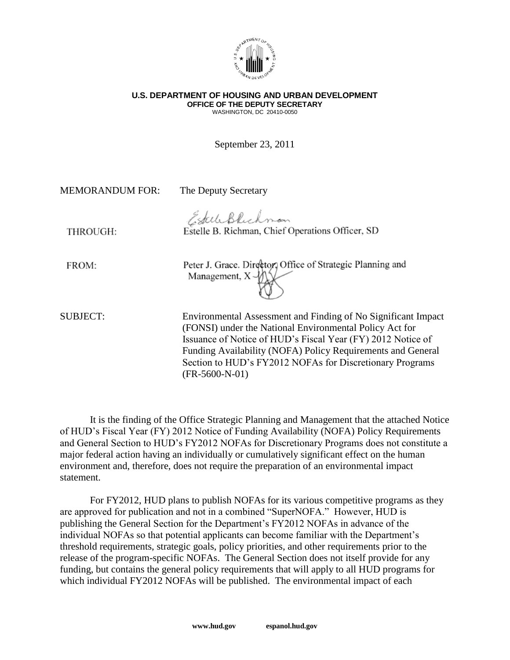

## **U.S. DEPARTMENT OF HOUSING AND URBAN DEVELOPMENT OFFICE OF THE DEPUTY SECRETARY** WASHINGTON, DC 20410-0050

September 23, 2011

MEMORANDUM FOR: The Deputy Secretary EsteleBlichman Estelle B. Richman, Chief Operations Officer, SD THROUGH: Peter J. Grace. Director, Office of Strategic Planning and FROM: Management,  $X - V$ SUBJECT: Environmental Assessment and Finding of No Significant Impact (FONSI) under the National Environmental Policy Act for Issuance of Notice of HUD's Fiscal Year (FY) 2012 Notice of Funding Availability (NOFA) Policy Requirements and General Section to HUD's FY2012 NOFAs for Discretionary Programs (FR-5600-N-01)

It is the finding of the Office Strategic Planning and Management that the attached Notice of HUD's Fiscal Year (FY) 2012 Notice of Funding Availability (NOFA) Policy Requirements and General Section to HUD's FY2012 NOFAs for Discretionary Programs does not constitute a major federal action having an individually or cumulatively significant effect on the human environment and, therefore, does not require the preparation of an environmental impact statement.

For FY2012, HUD plans to publish NOFAs for its various competitive programs as they are approved for publication and not in a combined "SuperNOFA." However, HUD is publishing the General Section for the Department's FY2012 NOFAs in advance of the individual NOFAs so that potential applicants can become familiar with the Department's threshold requirements, strategic goals, policy priorities, and other requirements prior to the release of the program-specific NOFAs. The General Section does not itself provide for any funding, but contains the general policy requirements that will apply to all HUD programs for which individual FY2012 NOFAs will be published. The environmental impact of each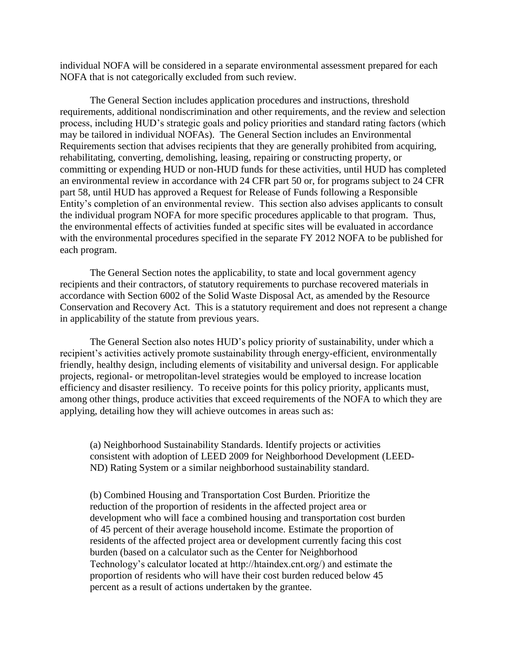individual NOFA will be considered in a separate environmental assessment prepared for each NOFA that is not categorically excluded from such review.

The General Section includes application procedures and instructions, threshold requirements, additional nondiscrimination and other requirements, and the review and selection process, including HUD's strategic goals and policy priorities and standard rating factors (which may be tailored in individual NOFAs). The General Section includes an Environmental Requirements section that advises recipients that they are generally prohibited from acquiring, rehabilitating, converting, demolishing, leasing, repairing or constructing property, or committing or expending HUD or non-HUD funds for these activities, until HUD has completed an environmental review in accordance with 24 CFR part 50 or, for programs subject to 24 CFR part 58, until HUD has approved a Request for Release of Funds following a Responsible Entity's completion of an environmental review. This section also advises applicants to consult the individual program NOFA for more specific procedures applicable to that program. Thus, the environmental effects of activities funded at specific sites will be evaluated in accordance with the environmental procedures specified in the separate FY 2012 NOFA to be published for each program.

The General Section notes the applicability, to state and local government agency recipients and their contractors, of statutory requirements to purchase recovered materials in accordance with Section 6002 of the Solid Waste Disposal Act, as amended by the Resource Conservation and Recovery Act. This is a statutory requirement and does not represent a change in applicability of the statute from previous years.

The General Section also notes HUD's policy priority of sustainability, under which a recipient's activities actively promote sustainability through energy-efficient, environmentally friendly, healthy design, including elements of visitability and universal design. For applicable projects, regional- or metropolitan-level strategies would be employed to increase location efficiency and disaster resiliency. To receive points for this policy priority, applicants must, among other things, produce activities that exceed requirements of the NOFA to which they are applying, detailing how they will achieve outcomes in areas such as:

(a) Neighborhood Sustainability Standards. Identify projects or activities consistent with adoption of LEED 2009 for Neighborhood Development (LEED-ND) Rating System or a similar neighborhood sustainability standard.

(b) Combined Housing and Transportation Cost Burden. Prioritize the reduction of the proportion of residents in the affected project area or development who will face a combined housing and transportation cost burden of 45 percent of their average household income. Estimate the proportion of residents of the affected project area or development currently facing this cost burden (based on a calculator such as the Center for Neighborhood Technology's calculator located at http://htaindex.cnt.org/) and estimate the proportion of residents who will have their cost burden reduced below 45 percent as a result of actions undertaken by the grantee.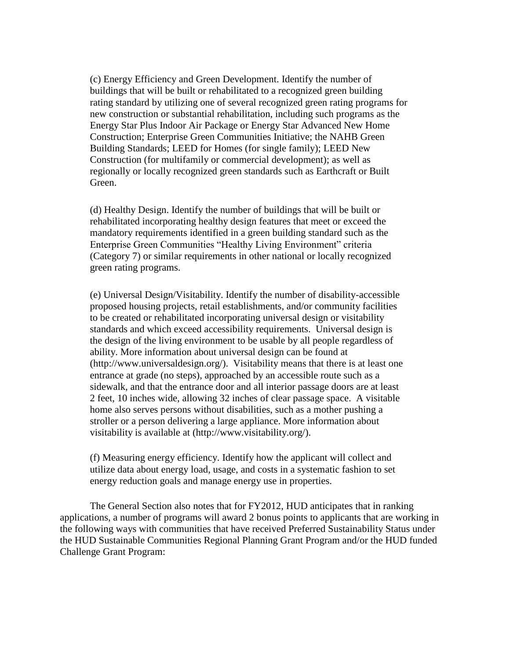(c) Energy Efficiency and Green Development. Identify the number of buildings that will be built or rehabilitated to a recognized green building rating standard by utilizing one of several recognized green rating programs for new construction or substantial rehabilitation, including such programs as the Energy Star Plus Indoor Air Package or Energy Star Advanced New Home Construction; Enterprise Green Communities Initiative; the NAHB Green Building Standards; LEED for Homes (for single family); LEED New Construction (for multifamily or commercial development); as well as regionally or locally recognized green standards such as Earthcraft or Built Green.

(d) Healthy Design. Identify the number of buildings that will be built or rehabilitated incorporating healthy design features that meet or exceed the mandatory requirements identified in a green building standard such as the Enterprise Green Communities "Healthy Living Environment" criteria (Category 7) or similar requirements in other national or locally recognized green rating programs.

(e) Universal Design/Visitability. Identify the number of disability-accessible proposed housing projects, retail establishments, and/or community facilities to be created or rehabilitated incorporating universal design or visitability standards and which exceed accessibility requirements. Universal design is the design of the living environment to be usable by all people regardless of ability. More information about universal design can be found at (http://www.universaldesign.org/). Visitability means that there is at least one entrance at grade (no steps), approached by an accessible route such as a sidewalk, and that the entrance door and all interior passage doors are at least 2 feet, 10 inches wide, allowing 32 inches of clear passage space. A visitable home also serves persons without disabilities, such as a mother pushing a stroller or a person delivering a large appliance. More information about visitability is available at (http://www.visitability.org/).

(f) Measuring energy efficiency. Identify how the applicant will collect and utilize data about energy load, usage, and costs in a systematic fashion to set energy reduction goals and manage energy use in properties.

The General Section also notes that for FY2012, HUD anticipates that in ranking applications, a number of programs will award 2 bonus points to applicants that are working in the following ways with communities that have received Preferred Sustainability Status under the HUD Sustainable Communities Regional Planning Grant Program and/or the HUD funded Challenge Grant Program: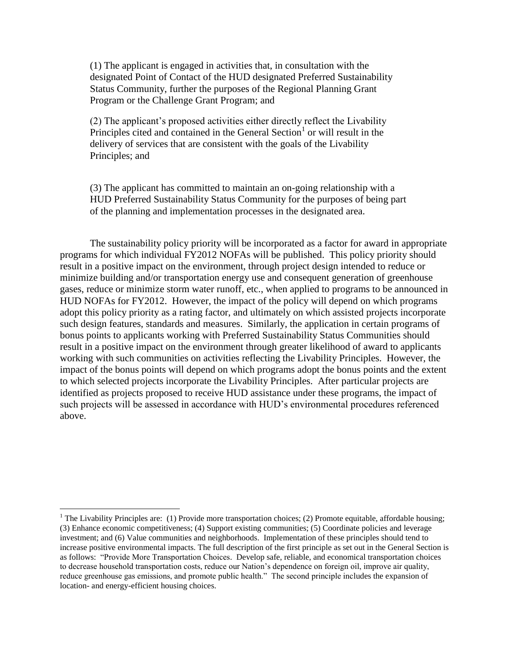(1) The applicant is engaged in activities that, in consultation with the designated Point of Contact of the HUD designated Preferred Sustainability Status Community, further the purposes of the Regional Planning Grant Program or the Challenge Grant Program; and

(2) The applicant's proposed activities either directly reflect the Livability Principles cited and contained in the General Section<sup>1</sup> or will result in the delivery of services that are consistent with the goals of the Livability Principles; and

(3) The applicant has committed to maintain an on-going relationship with a HUD Preferred Sustainability Status Community for the purposes of being part of the planning and implementation processes in the designated area.

The sustainability policy priority will be incorporated as a factor for award in appropriate programs for which individual FY2012 NOFAs will be published. This policy priority should result in a positive impact on the environment, through project design intended to reduce or minimize building and/or transportation energy use and consequent generation of greenhouse gases, reduce or minimize storm water runoff, etc., when applied to programs to be announced in HUD NOFAs for FY2012. However, the impact of the policy will depend on which programs adopt this policy priority as a rating factor, and ultimately on which assisted projects incorporate such design features, standards and measures. Similarly, the application in certain programs of bonus points to applicants working with Preferred Sustainability Status Communities should result in a positive impact on the environment through greater likelihood of award to applicants working with such communities on activities reflecting the Livability Principles. However, the impact of the bonus points will depend on which programs adopt the bonus points and the extent to which selected projects incorporate the Livability Principles. After particular projects are identified as projects proposed to receive HUD assistance under these programs, the impact of such projects will be assessed in accordance with HUD's environmental procedures referenced above.

 $\overline{a}$ 

<sup>&</sup>lt;sup>1</sup> The Livability Principles are: (1) Provide more transportation choices; (2) Promote equitable, affordable housing; (3) Enhance economic competitiveness; (4) Support existing communities; (5) Coordinate policies and leverage investment; and (6) Value communities and neighborhoods. Implementation of these principles should tend to increase positive environmental impacts. The full description of the first principle as set out in the General Section is as follows: "Provide More Transportation Choices. Develop safe, reliable, and economical transportation choices to decrease household transportation costs, reduce our Nation's dependence on foreign oil, improve air quality, reduce greenhouse gas emissions, and promote public health." The second principle includes the expansion of location- and energy-efficient housing choices.